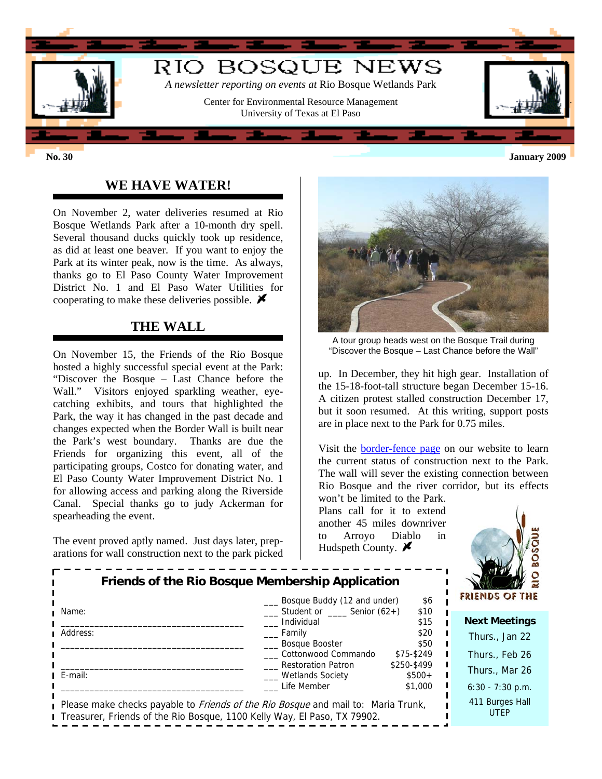

#### **No. 30 January 2009**

## **WE HAVE WATER!**

On November 2, water deliveries resumed at Rio Bosque Wetlands Park after a 10-month dry spell. Several thousand ducks quickly took up residence, as did at least one beaver. If you want to enjoy the Park at its winter peak, now is the time. As always, thanks go to El Paso County Water Improvement District No. 1 and El Paso Water Utilities for cooperating to make these deliveries possible.  $\blacktriangleright$ 

## **THE WALL**

On November 15, the Friends of the Rio Bosque hosted a highly successful special event at the Park: "Discover the Bosque – Last Chance before the Wall." Visitors enjoyed sparkling weather, eyecatching exhibits, and tours that highlighted the Park, the way it has changed in the past decade and changes expected when the Border Wall is built near the Park's west boundary. Thanks are due the Friends for organizing this event, all of the participating groups, Costco for donating water, and El Paso County Water Improvement District No. 1 for allowing access and parking along the Riverside Canal. Special thanks go to judy Ackerman for spearheading the event.

The event proved aptly named. Just days later, preparations for wall construction next to the park picked



A tour group heads west on the Bosque Trail during "Discover the Bosque – Last Chance before the Wall"

up. In December, they hit high gear. Installation of the 15-18-foot-tall structure began December 15-16. A citizen protest stalled construction December 17, but it soon resumed. At this writing, support posts are in place next to the Park for 0.75 miles.

Visit the [border-fence page](http://research.utep.edu/Default.aspx?tabid=54582) on our website to learn the current status of construction next to the Park. The wall will sever the existing connection between Rio Bosque and the river corridor, but its effects won't be limited to the Park.

Plans call for it to extend another 45 miles downriver to Arroyo Diablo in Hudspeth County.  $\blacktriangleright$ 



| Friends of the Rio Bosque Membership Application                                                                                                                       |                                                                   |                        | $\bullet$                      |
|------------------------------------------------------------------------------------------------------------------------------------------------------------------------|-------------------------------------------------------------------|------------------------|--------------------------------|
|                                                                                                                                                                        | Bosque Buddy (12 and under)                                       | \$6                    | <b>FRIENDS OF THE</b>          |
| ∎ Name:                                                                                                                                                                | $\frac{1}{2}$ Student or $\frac{1}{2}$ Senior (62+)<br>Individual | \$10<br>\$15           | <b>Next Meetings</b>           |
| Address:                                                                                                                                                               | Family<br><b>Bosque Booster</b>                                   | \$20<br>\$50           | Thurs., Jan 22                 |
|                                                                                                                                                                        | Cottonwood Commando                                               | \$75-\$249             | Thurs., Feb 26                 |
| $I$ E-mail:                                                                                                                                                            | <b>Restoration Patron</b><br>Wetlands Society                     | \$250-\$499<br>$$500+$ | Thurs., Mar 26                 |
|                                                                                                                                                                        | Life Member                                                       | \$1,000                | $6:30 - 7:30$ p.m.             |
| Please make checks payable to <i>Friends of the Rio Bosque</i> and mail to: Maria Trunk,<br>I Treasurer, Friends of the Rio Bosque, 1100 Kelly Way, El Paso, TX 79902. |                                                                   |                        | 411 Burges Hall<br><b>UTEP</b> |